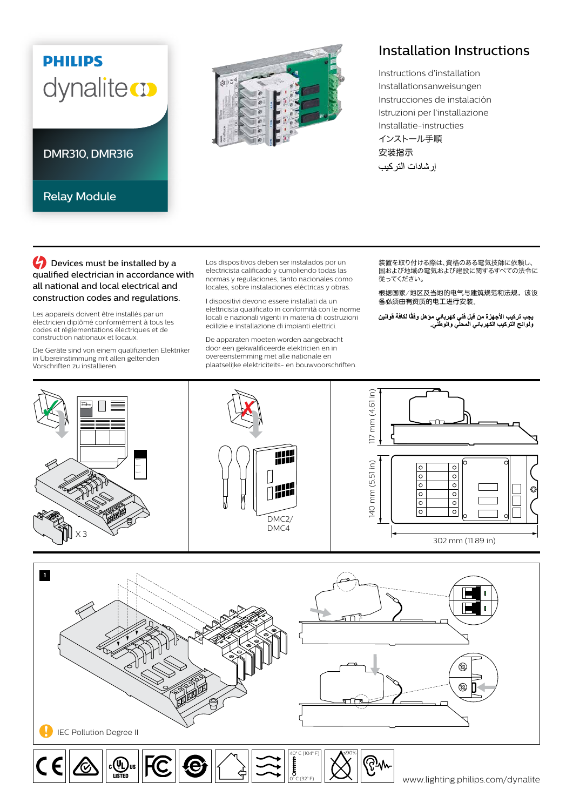## **PHILIPS** dynaliteco

Relay Module



## Installation Instructions

Instructions d'installation Installationsanweisungen Instrucciones de instalación Istruzioni per l'installazione Installatie-instructies インストール手順

**C** Devices must be installed by a qualified electrician in accordance with all national and local electrical and construction codes and regulations.

Les appareils doivent être installés par un électricien diplômé conformément à tous les codes et réglementations électriques et de construction nationaux et locaux.

Die Geräte sind von einem qualifizierten Elektriker in Übereinstimmung mit allen geltenden Vorschriften zu installieren.

Los dispositivos deben ser instalados por un electricista calificado y cumpliendo todas las normas y regulaciones, tanto nacionales como locales, sobre instalaciones eléctricas y obras.

I dispositivi devono essere installati da un elettricista qualificato in conformità con le norme locali e nazionali vigenti in materia di costruzioni edilizie e installazione di impianti elettrici.

De apparaten moeten worden aangebracht door een gekwalificeerde elektricien en in overeenstemming met alle nationale en plaatselijke elektriciteits- en bouwvoorschriften. 装置を取り付ける際は、資格のある電気技師に依頼し、 ーーーーーーの ここで こころ ここの ここの ここの ここの<br>国および地域の電気および建設に関するすべての法令に 従ってください。

根据国家/地区及当地的电气与建筑规范和法规,该设 备必须由有资质的电工进行安装。

يجب تركيب الأجهزة من قبل فني كهرباني موّ هل وفقًا لكافة قوانين<br>ولوائح التركيب الكهرباني المحلي والوطني<sub>.</sub>



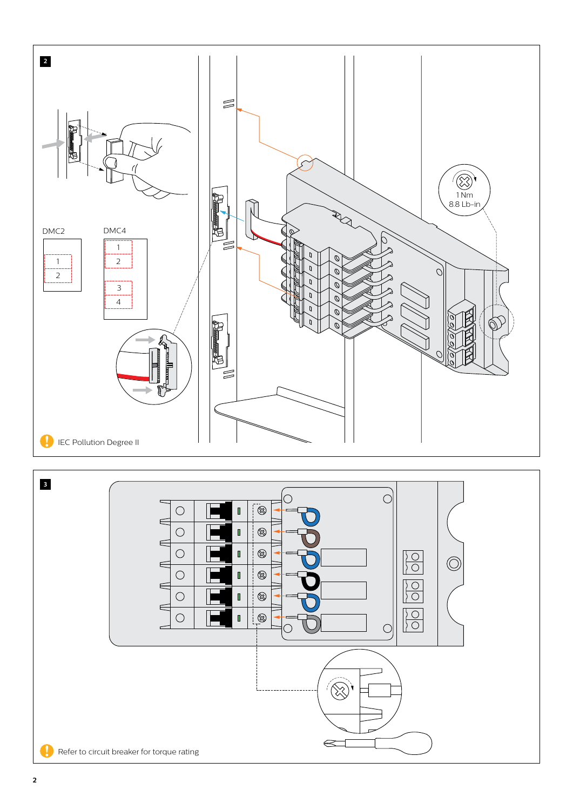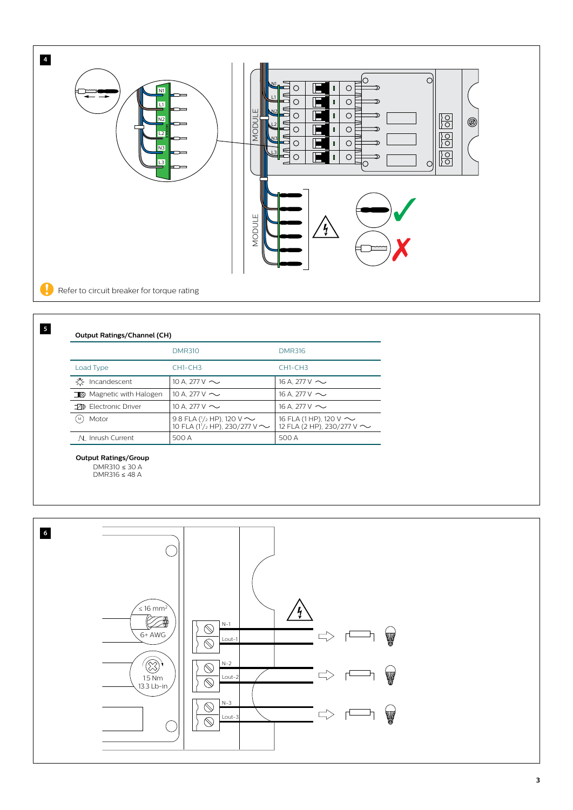